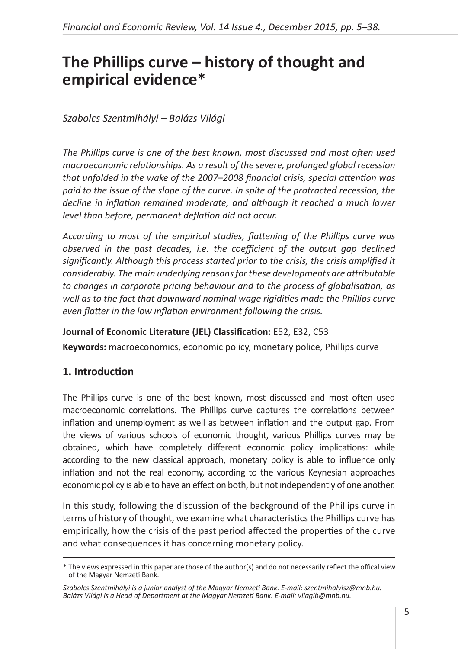# **The Phillips curve – history of thought and empirical evidence\***

#### *Szabolcs Szentmihályi – Balázs Világi*

*The Phillips curve is one of the best known, most discussed and most often used macroeconomic relationships. As a result of the severe, prolonged global recession that unfolded in the wake of the 2007–2008 financial crisis, special attention was paid to the issue of the slope of the curve. In spite of the protracted recession, the decline in inflation remained moderate, and although it reached a much lower level than before, permanent deflation did not occur.* 

*According to most of the empirical studies, flattening of the Phillips curve was*  observed in the past decades, i.e. the coefficient of the output gap declined *significantly. Although this process started prior to the crisis, the crisis amplified it considerably. The main underlying reasons for these developments are attributable to changes in corporate pricing behaviour and to the process of globalisation, as well as to the fact that downward nominal wage rigidities made the Phillips curve even flatter in the low inflation environment following the crisis.*

#### **Journal of Economic Literature (JEL) Classification:** E52, E32, C53

**Keywords:** macroeconomics, economic policy, monetary police, Phillips curve

#### **1. Introduction**

The Phillips curve is one of the best known, most discussed and most often used macroeconomic correlations. The Phillips curve captures the correlations between inflation and unemployment as well as between inflation and the output gap. From the views of various schools of economic thought, various Phillips curves may be obtained, which have completely different economic policy implications: while according to the new classical approach, monetary policy is able to influence only inflation and not the real economy, according to the various Keynesian approaches economic policy is able to have an effect on both, but not independently of one another.

In this study, following the discussion of the background of the Phillips curve in terms of history of thought, we examine what characteristics the Phillips curve has empirically, how the crisis of the past period affected the properties of the curve and what consequences it has concerning monetary policy.

<sup>\*</sup> The views expressed in this paper are those of the author(s) and do not necessarily reflect the offical view of the Magyar Nemzeti Bank.

*Szabolcs Szentmihályi is a junior analyst of the Magyar Nemzeti Bank. E-mail: szentmihalyisz@mnb.hu. Balázs Világi is a Head of Department at the Magyar Nemzeti Bank. E-mail: vilagib@mnb.hu.*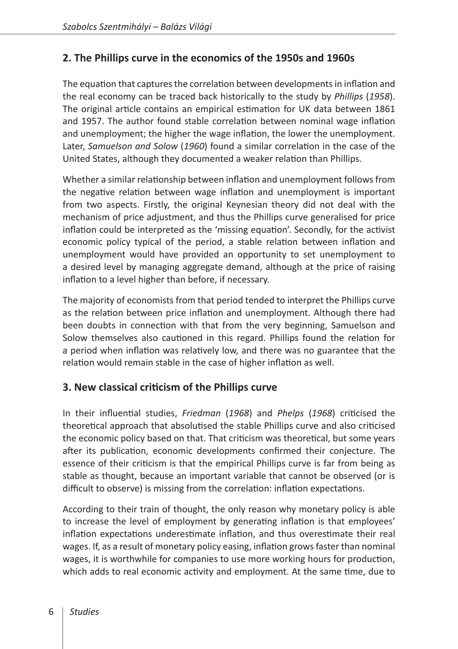### **2. The Phillips curve in the economics of the 1950s and 1960s**

The equation that captures the correlation between developments in inflation and the real economy can be traced back historically to the study by *Phillips* (*1958*). The original article contains an empirical estimation for UK data between 1861 and 1957. The author found stable correlation between nominal wage inflation and unemployment; the higher the wage inflation, the lower the unemployment. Later, *Samuelson and Solow* (*1960*) found a similar correlation in the case of the United States, although they documented a weaker relation than Phillips.

Whether a similar relationship between inflation and unemployment follows from the negative relation between wage inflation and unemployment is important from two aspects. Firstly, the original Keynesian theory did not deal with the mechanism of price adjustment, and thus the Phillips curve generalised for price inflation could be interpreted as the 'missing equation'. Secondly, for the activist economic policy typical of the period, a stable relation between inflation and unemployment would have provided an opportunity to set unemployment to a desired level by managing aggregate demand, although at the price of raising inflation to a level higher than before, if necessary.

The majority of economists from that period tended to interpret the Phillips curve as the relation between price inflation and unemployment. Although there had been doubts in connection with that from the very beginning, Samuelson and Solow themselves also cautioned in this regard. Phillips found the relation for a period when inflation was relatively low, and there was no guarantee that the relation would remain stable in the case of higher inflation as well.

#### **3. New classical criticism of the Phillips curve**

In their influential studies, *Friedman* (*1968*) and *Phelps* (*1968*) criticised the theoretical approach that absolutised the stable Phillips curve and also criticised the economic policy based on that. That criticism was theoretical, but some years after its publication, economic developments confirmed their conjecture. The essence of their criticism is that the empirical Phillips curve is far from being as stable as thought, because an important variable that cannot be observed (or is difficult to observe) is missing from the correlation: inflation expectations.

According to their train of thought, the only reason why monetary policy is able to increase the level of employment by generating inflation is that employees' inflation expectations underestimate inflation, and thus overestimate their real wages. If, as a result of monetary policy easing, inflation grows faster than nominal wages, it is worthwhile for companies to use more working hours for production, which adds to real economic activity and employment. At the same time, due to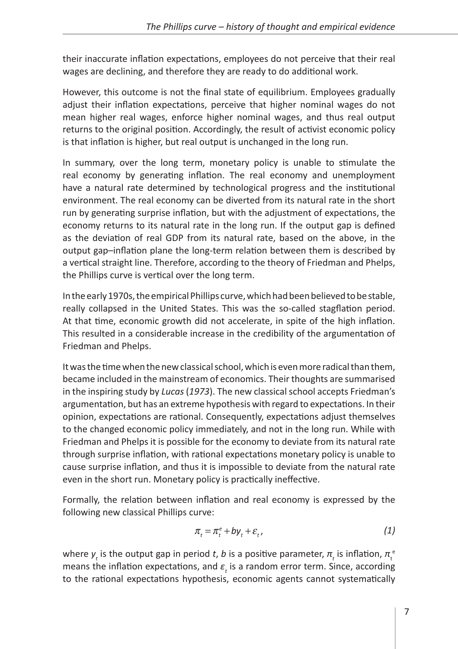their inaccurate inflation expectations, employees do not perceive that their real wages are declining, and therefore they are ready to do additional work.

However, this outcome is not the final state of equilibrium. Employees gradually adjust their inflation expectations, perceive that higher nominal wages do not mean higher real wages, enforce higher nominal wages, and thus real output returns to the original position. Accordingly, the result of activist economic policy is that inflation is higher, but real output is unchanged in the long run.

In summary, over the long term, monetary policy is unable to stimulate the real economy by generating inflation. The real economy and unemployment have a natural rate determined by technological progress and the institutional environment. The real economy can be diverted from its natural rate in the short run by generating surprise inflation, but with the adjustment of expectations, the economy returns to its natural rate in the long run. If the output gap is defined as the deviation of real GDP from its natural rate, based on the above, in the output gap–inflation plane the long-term relation between them is described by a vertical straight line. Therefore, according to the theory of Friedman and Phelps, the Phillips curve is vertical over the long term.

In the early 1970s, the empirical Phillips curve, which had been believed to be stable, really collapsed in the United States. This was the so-called stagflation period. At that time, economic growth did not accelerate, in spite of the high inflation. This resulted in a considerable increase in the credibility of the argumentation of Friedman and Phelps.

It was the time when the new classical school, which is even more radical than them, became included in the mainstream of economics. Their thoughts are summarised in the inspiring study by *Lucas* (*1973*). The new classical school accepts Friedman's argumentation, but has an extreme hypothesis with regard to expectations. In their opinion, expectations are rational. Consequently, expectations adjust themselves to the changed economic policy immediately, and not in the long run. While with Friedman and Phelps it is possible for the economy to deviate from its natural rate through surprise inflation, with rational expectations monetary policy is unable to cause surprise inflation, and thus it is impossible to deviate from the natural rate even in the short run. Monetary policy is practically ineffective.

Formally, the relation between inflation and real economy is expressed by the following new classical Phillips curve:

$$
\pi_t = \pi_t^e + b y_t + \varepsilon_t, \tag{1}
$$

where  $y_t$  is the output gap in period *t*, *b* is a positive parameter,  $\pi_t$  is inflation,  $\pi_t^{\epsilon}$ means the inflation expectations, and  $ε_t$  is a random error term. Since, according to the rational expectations hypothesis, economic agents cannot systematically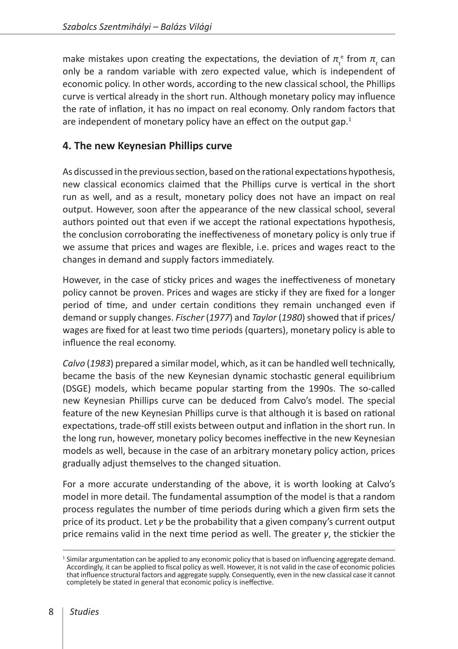make mistakes upon creating the expectations, the deviation of  $\pi_t^e$  from  $\pi_t^e$  can only be a random variable with zero expected value, which is independent of economic policy. In other words, according to the new classical school, the Phillips curve is vertical already in the short run. Although monetary policy may influence the rate of inflation, it has no impact on real economy. Only random factors that are independent of monetary policy have an effect on the output gap. $<sup>1</sup>$ </sup>

#### **4. The new Keynesian Phillips curve**

As discussed in the previous section, based on the rational expectations hypothesis, new classical economics claimed that the Phillips curve is vertical in the short run as well, and as a result, monetary policy does not have an impact on real output. However, soon after the appearance of the new classical school, several authors pointed out that even if we accept the rational expectations hypothesis, the conclusion corroborating the ineffectiveness of monetary policy is only true if we assume that prices and wages are flexible, i.e. prices and wages react to the changes in demand and supply factors immediately.

However, in the case of sticky prices and wages the ineffectiveness of monetary policy cannot be proven. Prices and wages are sticky if they are fixed for a longer period of time, and under certain conditions they remain unchanged even if demand or supply changes. *Fischer* (*1977*) and *Taylor* (*1980*) showed that if prices/ wages are fixed for at least two time periods (quarters), monetary policy is able to influence the real economy.

*Calvo* (*1983*) prepared a similar model, which, as it can be handled well technically, became the basis of the new Keynesian dynamic stochastic general equilibrium (DSGE) models, which became popular starting from the 1990s. The so-called new Keynesian Phillips curve can be deduced from Calvo's model. The special feature of the new Keynesian Phillips curve is that although it is based on rational expectations, trade-off still exists between output and inflation in the short run. In the long run, however, monetary policy becomes ineffective in the new Keynesian models as well, because in the case of an arbitrary monetary policy action, prices gradually adjust themselves to the changed situation.

For a more accurate understanding of the above, it is worth looking at Calvo's model in more detail. The fundamental assumption of the model is that a random process regulates the number of time periods during which a given firm sets the price of its product. Let *γ* be the probability that a given company's current output price remains valid in the next time period as well. The greater *γ*, the stickier the

<sup>&</sup>lt;sup>1</sup> Similar argumentation can be applied to any economic policy that is based on influencing aggregate demand. Accordingly, it can be applied to fiscal policy as well. However, it is not valid in the case of economic policies that influence structural factors and aggregate supply. Consequently, even in the new classical case it cannot completely be stated in general that economic policy is ineffective.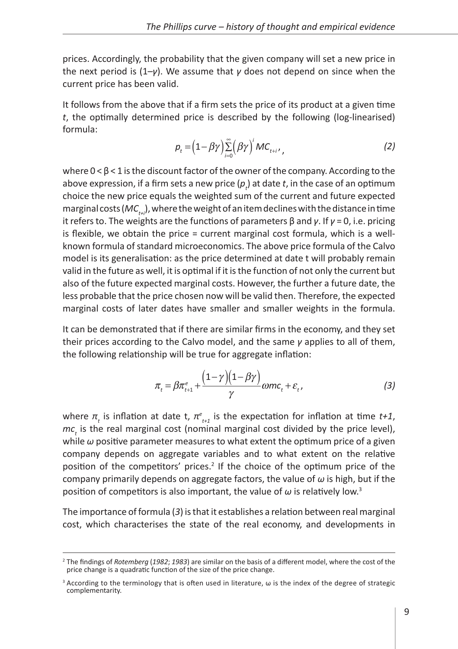prices. Accordingly, the probability that the given company will set a new price in the next period is (1–*γ*). We assume that *γ* does not depend on since when the current price has been valid.

It follows from the above that if a firm sets the price of its product at a given time *t*, the optimally determined price is described by the following (log-linearised) formula:

$$
\rho_t = \left(1 - \beta \gamma\right) \sum_{i=0}^{\infty} \left(\beta \gamma\right)^i MC_{t+i}, \qquad (2)
$$

where  $0 < \beta < 1$  is the discount factor of the owner of the company. According to the above expression, if a firm sets a new price  $(\rho_{_{t}})$  at date  $t$ , in the case of an optimum choice the new price equals the weighted sum of the current and future expected marginal costs (*MC<sub>tii</sub>*), where the weight of an item declines with the distance in time it refers to. The weights are the functions of parameters β and *γ*. If *γ* = 0, i.e. pricing is flexible, we obtain the price = current marginal cost formula, which is a wellknown formula of standard microeconomics. The above price formula of the Calvo model is its generalisation: as the price determined at date t will probably remain valid in the future as well, it is optimal if it is the function of not only the current but also of the future expected marginal costs. However, the further a future date, the less probable that the price chosen now will be valid then. Therefore, the expected marginal costs of later dates have smaller and smaller weights in the formula.

It can be demonstrated that if there are similar firms in the economy, and they set their prices according to the Calvo model, and the same *γ* applies to all of them, the following relationship will be true for aggregate inflation:

$$
\pi_t = \beta \pi_{t+1}^e + \frac{\left(1 - \gamma\right)\left(1 - \beta \gamma\right)}{\gamma} \omega m c_t + \varepsilon_t,
$$
\n(3)

where  $\pi$ <sub>t</sub> is inflation at date t,  $\pi_{t+1}^e$  is the expectation for inflation at time *t+1*,  $mc<sub>t</sub>$  is the real marginal cost (nominal marginal cost divided by the price level), while *ω* positive parameter measures to what extent the optimum price of a given company depends on aggregate variables and to what extent on the relative position of the competitors' prices.<sup>2</sup> If the choice of the optimum price of the company primarily depends on aggregate factors, the value of *ω* is high, but if the position of competitors is also important, the value of  $\omega$  is relatively low.<sup>3</sup>

The importance of formula (*3*) is that it establishes a relation between real marginal cost, which characterises the state of the real economy, and developments in

<sup>2</sup> The findings of *Rotemberg* (*1982*; *1983*) are similar on the basis of a different model, where the cost of the price change is a quadratic function of the size of the price change.

 $3$  According to the terminology that is often used in literature,  $\omega$  is the index of the degree of strategic complementarity.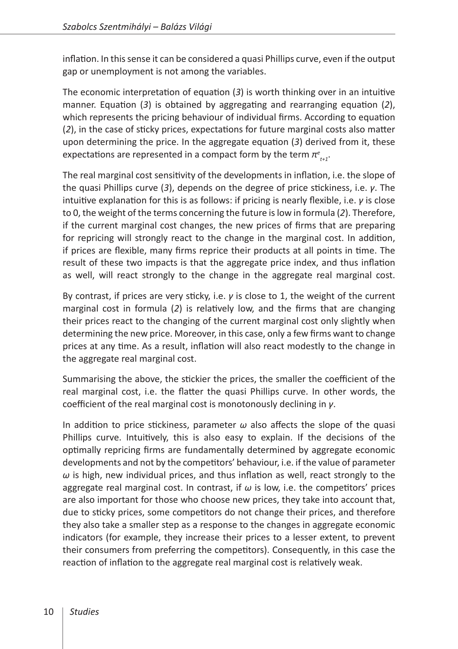inflation. In this sense it can be considered a quasi Phillips curve, even if the output gap or unemployment is not among the variables.

The economic interpretation of equation (*3*) is worth thinking over in an intuitive manner. Equation (*3*) is obtained by aggregating and rearranging equation (*2*), which represents the pricing behaviour of individual firms. According to equation (*2*), in the case of sticky prices, expectations for future marginal costs also matter upon determining the price. In the aggregate equation (*3*) derived from it, these expectations are represented in a compact form by the term *π<sup>e</sup> t+1*.

The real marginal cost sensitivity of the developments in inflation, i.e. the slope of the quasi Phillips curve (*3*), depends on the degree of price stickiness, i.e. *γ*. The intuitive explanation for this is as follows: if pricing is nearly flexible, i.e. *γ* is close to 0, the weight of the terms concerning the future is low in formula (*2*). Therefore, if the current marginal cost changes, the new prices of firms that are preparing for repricing will strongly react to the change in the marginal cost. In addition, if prices are flexible, many firms reprice their products at all points in time. The result of these two impacts is that the aggregate price index, and thus inflation as well, will react strongly to the change in the aggregate real marginal cost.

By contrast, if prices are very sticky, i.e. *γ* is close to 1, the weight of the current marginal cost in formula (*2*) is relatively low, and the firms that are changing their prices react to the changing of the current marginal cost only slightly when determining the new price. Moreover, in this case, only a few firms want to change prices at any time. As a result, inflation will also react modestly to the change in the aggregate real marginal cost.

Summarising the above, the stickier the prices, the smaller the coefficient of the real marginal cost, i.e. the flatter the quasi Phillips curve. In other words, the coefficient of the real marginal cost is monotonously declining in *γ*.

In addition to price stickiness, parameter *ω* also affects the slope of the quasi Phillips curve. Intuitively, this is also easy to explain. If the decisions of the optimally repricing firms are fundamentally determined by aggregate economic developments and not by the competitors' behaviour, i.e. if the value of parameter *ω* is high, new individual prices, and thus inflation as well, react strongly to the aggregate real marginal cost. In contrast, if *ω* is low, i.e. the competitors' prices are also important for those who choose new prices, they take into account that, due to sticky prices, some competitors do not change their prices, and therefore they also take a smaller step as a response to the changes in aggregate economic indicators (for example, they increase their prices to a lesser extent, to prevent their consumers from preferring the competitors). Consequently, in this case the reaction of inflation to the aggregate real marginal cost is relatively weak.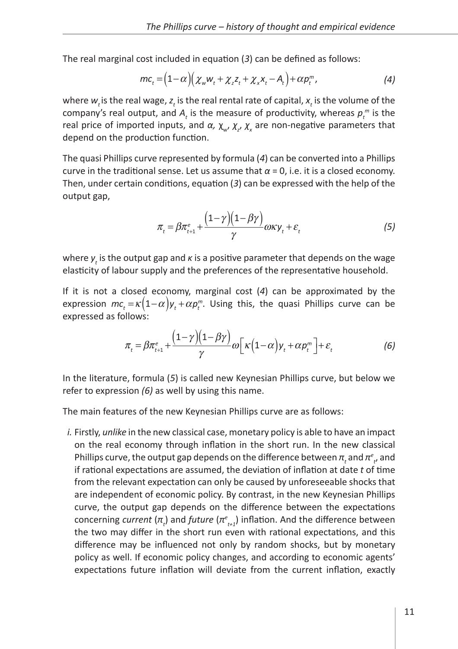The real marginal cost included in equation (*3*) can be defined as follows:

$$
mc_t = (1 - \alpha) (\chi_w w_t + \chi_z z_t + \chi_x x_t - A_t) + \alpha p_t^m, \qquad (4)
$$

where  $w_t$  is the real wage,  $z_t$  is the real rental rate of capital,  $x_t$  is the volume of the company's real output, and  $A_t$  is the measure of productivity, whereas  $p_t^{\,m}$  is the real price of imported inputs, and *α*,  $\chi_{w}$ ,  $\chi_{z}$ ,  $\chi_{x}$  are non-negative parameters that depend on the production function.

The quasi Phillips curve represented by formula (*4*) can be converted into a Phillips curve in the traditional sense. Let us assume that  $α = 0$ , i.e. it is a closed economy. Then, under certain conditions, equation (*3*) can be expressed with the help of the output gap,

$$
\pi_t = \beta \pi_{t+1}^e + \frac{(1-\gamma)(1-\beta\gamma)}{\gamma} \omega \kappa y_t + \varepsilon_t \tag{5}
$$

where  $\boldsymbol{y}_t$  is the output gap and *κ* is a positive parameter that depends on the wage elasticity of labour supply and the preferences of the representative household.

If it is not a closed economy, marginal cost (*4*) can be approximated by the expression  $mc_t = \kappa (1-\alpha) y_t + \alpha p_t^m$ . Using this, the quasi Phillips curve can be expressed as follows:

$$
\pi_t = \beta \pi_{t+1}^e + \frac{(1-\gamma)(1-\beta\gamma)}{\gamma} \omega \Big[ \kappa \Big(1-\alpha\Big) y_t + \alpha p_t^m \Big] + \varepsilon_t \tag{6}
$$

In the literature, formula (*5*) is called new Keynesian Phillips curve, but below we refer to expression *(6)* as well by using this name.

The main features of the new Keynesian Phillips curve are as follows:

*i.* Firstly, *unlike* in the new classical case, monetary policy is able to have an impact on the real economy through inflation in the short run. In the new classical Phillips curve, the output gap depends on the difference between  $\pi_{_{t}}$  and  $\pi_{_{t'}}^e$  and if rational expectations are assumed, the deviation of inflation at date *t* of time from the relevant expectation can only be caused by unforeseeable shocks that are independent of economic policy. By contrast, in the new Keynesian Phillips curve, the output gap depends on the difference between the expectations concerning *current* (*π<sup>t</sup>* ) and *future* (*π<sup>e</sup> t+1*) inflation. And the difference between the two may differ in the short run even with rational expectations, and this difference may be influenced not only by random shocks, but by monetary policy as well. If economic policy changes, and according to economic agents' expectations future inflation will deviate from the current inflation, exactly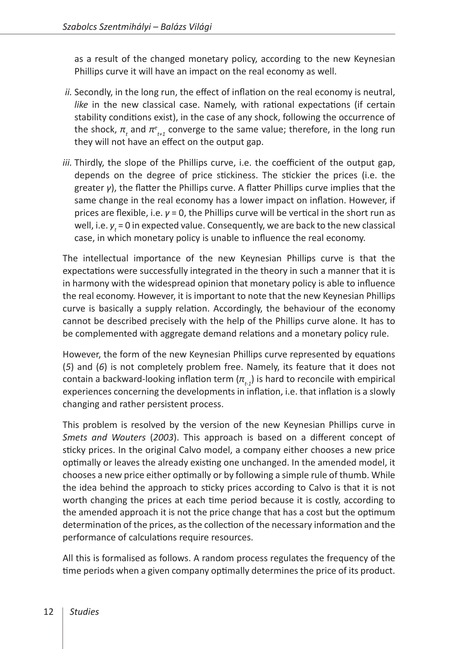as a result of the changed monetary policy, according to the new Keynesian Phillips curve it will have an impact on the real economy as well.

- *ii.* Secondly, in the long run, the effect of inflation on the real economy is neutral, *like* in the new classical case. Namely, with rational expectations (if certain stability conditions exist), in the case of any shock, following the occurrence of the shock,  $π_{t}$  and  $π_{t+1}^{e}$  converge to the same value; therefore, in the long run they will not have an effect on the output gap.
- *iii.* Thirdly, the slope of the Phillips curve, i.e. the coefficient of the output gap, depends on the degree of price stickiness. The stickier the prices (i.e. the greater *γ*), the flatter the Phillips curve. A flatter Phillips curve implies that the same change in the real economy has a lower impact on inflation. However, if prices are flexible, i.e. *γ* = 0, the Phillips curve will be vertical in the short run as well, i.e.  $y_t$  = 0 in expected value. Consequently, we are back to the new classical case, in which monetary policy is unable to influence the real economy.

The intellectual importance of the new Keynesian Phillips curve is that the expectations were successfully integrated in the theory in such a manner that it is in harmony with the widespread opinion that monetary policy is able to influence the real economy. However, it is important to note that the new Keynesian Phillips curve is basically a supply relation. Accordingly, the behaviour of the economy cannot be described precisely with the help of the Phillips curve alone. It has to be complemented with aggregate demand relations and a monetary policy rule.

However, the form of the new Keynesian Phillips curve represented by equations (*5*) and (*6*) is not completely problem free. Namely, its feature that it does not contain a backward-looking inflation term  $(\pi_{t-1})$  is hard to reconcile with empirical experiences concerning the developments in inflation, i.e. that inflation is a slowly changing and rather persistent process.

This problem is resolved by the version of the new Keynesian Phillips curve in *Smets and Wouters* (*2003*). This approach is based on a different concept of sticky prices. In the original Calvo model, a company either chooses a new price optimally or leaves the already existing one unchanged. In the amended model, it chooses a new price either optimally or by following a simple rule of thumb. While the idea behind the approach to sticky prices according to Calvo is that it is not worth changing the prices at each time period because it is costly, according to the amended approach it is not the price change that has a cost but the optimum determination of the prices, as the collection of the necessary information and the performance of calculations require resources.

All this is formalised as follows. A random process regulates the frequency of the time periods when a given company optimally determines the price of its product.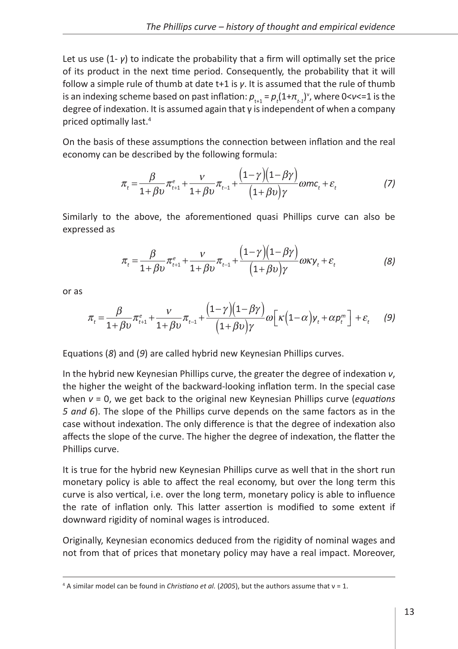Let us use  $(1-\gamma)$  to indicate the probability that a firm will optimally set the price of its product in the next time period. Consequently, the probability that it will follow a simple rule of thumb at date t+1 is *γ*. It is assumed that the rule of thumb is an indexing scheme based on past inflation:  $p_{_{t+1}} = p_{_t}(1+\pi_{_{t\!-\!1}})^\vee$ , where 0< $\nu$ <=1 is the degree of indexation. It is assumed again that γ is independent of when a company priced optimally last.4

On the basis of these assumptions the connection between inflation and the real economy can be described by the following formula:

$$
\pi_{t} = \frac{\beta}{1+\beta v} \pi_{t+1}^{e} + \frac{v}{1+\beta v} \pi_{t-1} + \frac{(1-\gamma)(1-\beta\gamma)}{(1+\beta v)\gamma} \omega mc_{t} + \varepsilon_{t}
$$
\n<sup>(7)</sup>

Similarly to the above, the aforementioned quasi Phillips curve can also be expressed as

$$
\pi_t = \frac{\beta}{1+\beta v} \pi_{t+1}^e + \frac{v}{1+\beta v} \pi_{t-1} + \frac{(1-\gamma)(1-\beta\gamma)}{(1+\beta v)\gamma} \omega \kappa y_t + \varepsilon_t
$$
\n(8)

or as

$$
\pi_{t} = \frac{\beta}{1+\beta v} \pi_{t+1}^{e} + \frac{v}{1+\beta v} \pi_{t-1} + \frac{(1-\gamma)(1-\beta\gamma)}{(1+\beta v)\gamma} \omega \left[\kappa\left(1-\alpha\right)y_{t} + \alpha p_{t}^{m}\right] + \varepsilon_{t} \tag{9}
$$

Equations (*8*) and (*9*) are called hybrid new Keynesian Phillips curves.

In the hybrid new Keynesian Phillips curve, the greater the degree of indexation *ν*, the higher the weight of the backward-looking inflation term. In the special case when *ν* = 0, we get back to the original new Keynesian Phillips curve (*equations 5 and 6*). The slope of the Phillips curve depends on the same factors as in the case without indexation. The only difference is that the degree of indexation also affects the slope of the curve. The higher the degree of indexation, the flatter the Phillips curve.

It is true for the hybrid new Keynesian Phillips curve as well that in the short run monetary policy is able to affect the real economy, but over the long term this curve is also vertical, i.e. over the long term, monetary policy is able to influence the rate of inflation only. This latter assertion is modified to some extent if downward rigidity of nominal wages is introduced.

Originally, Keynesian economics deduced from the rigidity of nominal wages and not from that of prices that monetary policy may have a real impact. Moreover,

<sup>4</sup> A similar model can be found in *Christiano et al.* (*2005*), but the authors assume that ν = 1.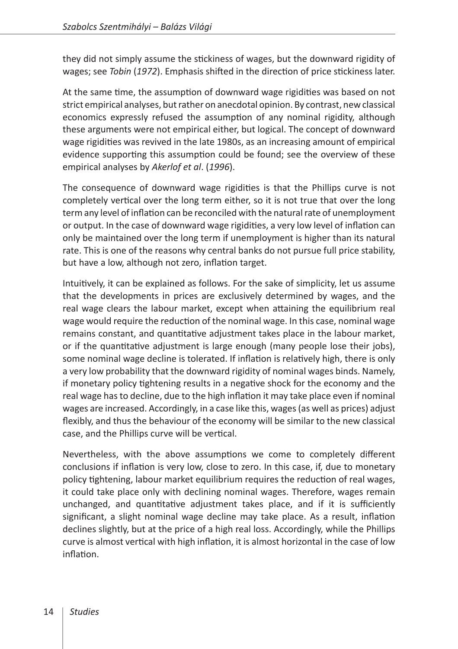they did not simply assume the stickiness of wages, but the downward rigidity of wages; see *Tobin* (*1972*). Emphasis shifted in the direction of price stickiness later.

At the same time, the assumption of downward wage rigidities was based on not strict empirical analyses, but rather on anecdotal opinion. By contrast, new classical economics expressly refused the assumption of any nominal rigidity, although these arguments were not empirical either, but logical. The concept of downward wage rigidities was revived in the late 1980s, as an increasing amount of empirical evidence supporting this assumption could be found; see the overview of these empirical analyses by *Akerlof et al*. (*1996*).

The consequence of downward wage rigidities is that the Phillips curve is not completely vertical over the long term either, so it is not true that over the long term any level of inflation can be reconciled with the natural rate of unemployment or output. In the case of downward wage rigidities, a very low level of inflation can only be maintained over the long term if unemployment is higher than its natural rate. This is one of the reasons why central banks do not pursue full price stability, but have a low, although not zero, inflation target.

Intuitively, it can be explained as follows. For the sake of simplicity, let us assume that the developments in prices are exclusively determined by wages, and the real wage clears the labour market, except when attaining the equilibrium real wage would require the reduction of the nominal wage. In this case, nominal wage remains constant, and quantitative adjustment takes place in the labour market, or if the quantitative adjustment is large enough (many people lose their jobs), some nominal wage decline is tolerated. If inflation is relatively high, there is only a very low probability that the downward rigidity of nominal wages binds. Namely, if monetary policy tightening results in a negative shock for the economy and the real wage has to decline, due to the high inflation it may take place even if nominal wages are increased. Accordingly, in a case like this, wages (as well as prices) adjust flexibly, and thus the behaviour of the economy will be similar to the new classical case, and the Phillips curve will be vertical.

Nevertheless, with the above assumptions we come to completely different conclusions if inflation is very low, close to zero. In this case, if, due to monetary policy tightening, labour market equilibrium requires the reduction of real wages, it could take place only with declining nominal wages. Therefore, wages remain unchanged, and quantitative adjustment takes place, and if it is sufficiently significant, a slight nominal wage decline may take place. As a result, inflation declines slightly, but at the price of a high real loss. Accordingly, while the Phillips curve is almost vertical with high inflation, it is almost horizontal in the case of low inflation.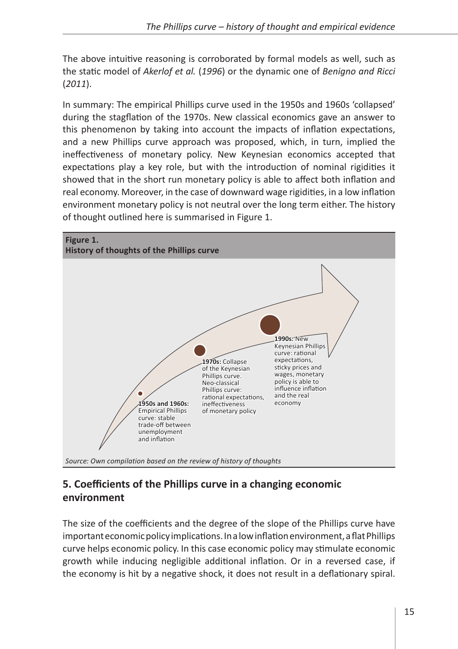The above intuitive reasoning is corroborated by formal models as well, such as the static model of *Akerlof et al.* (*1996*) or the dynamic one of *Benigno and Ricci* (*2011*).

In summary: The empirical Phillips curve used in the 1950s and 1960s 'collapsed' during the stagflation of the 1970s. New classical economics gave an answer to this phenomenon by taking into account the impacts of inflation expectations, and a new Phillips curve approach was proposed, which, in turn, implied the ineffectiveness of monetary policy. New Keynesian economics accepted that expectations play a key role, but with the introduction of nominal rigidities it showed that in the short run monetary policy is able to affect both inflation and real economy. Moreover, in the case of downward wage rigidities, in a low inflation environment monetary policy is not neutral over the long term either. The history of thought outlined here is summarised in Figure 1.



## **5. Coefficients of the Phillips curve in a changing economic environment**

The size of the coefficients and the degree of the slope of the Phillips curve have important economic policy implications. In alow inflation environment, aflat Phillips curve helps economic policy. In this case economic policy may stimulate economic growth while inducing negligible additional inflation. Or in a reversed case, if the economy is hit by a negative shock, it does not result in a deflationary spiral.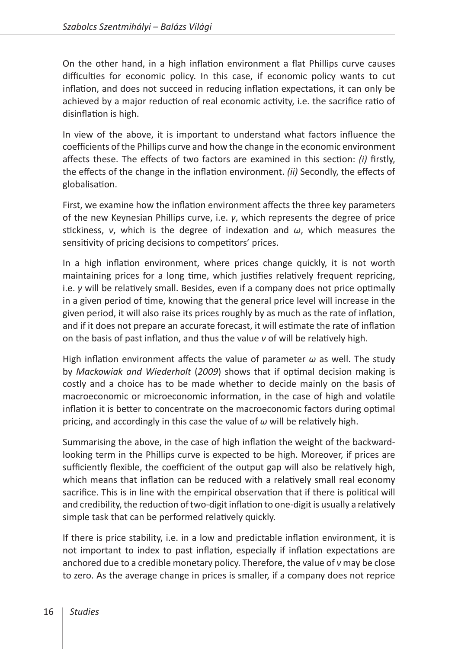On the other hand, in a high inflation environment a flat Phillips curve causes difficulties for economic policy. In this case, if economic policy wants to cut inflation, and does not succeed in reducing inflation expectations, it can only be achieved by a major reduction of real economic activity, i.e. the sacrifice ratio of disinflation is high.

In view of the above, it is important to understand what factors influence the coefficients of the Phillips curve and how the change in the economic environment affects these. The effects of two factors are examined in this section: *(i)* firstly, the effects of the change in the inflation environment. *(ii)* Secondly, the effects of globalisation.

First, we examine how the inflation environment affects the three key parameters of the new Keynesian Phillips curve, i.e. *γ*, which represents the degree of price stickiness, *ν*, which is the degree of indexation and *ω*, which measures the sensitivity of pricing decisions to competitors' prices.

In a high inflation environment, where prices change quickly, it is not worth maintaining prices for a long time, which justifies relatively frequent repricing, i.e. *γ* will be relatively small. Besides, even if a company does not price optimally in a given period of time, knowing that the general price level will increase in the given period, it will also raise its prices roughly by as much as the rate of inflation, and if it does not prepare an accurate forecast, it will estimate the rate of inflation on the basis of past inflation, and thus the value *ν* of will be relatively high.

High inflation environment affects the value of parameter *ω* as well. The study by *Mackowiak and Wiederholt* (*2009*) shows that if optimal decision making is costly and a choice has to be made whether to decide mainly on the basis of macroeconomic or microeconomic information, in the case of high and volatile inflation it is better to concentrate on the macroeconomic factors during optimal pricing, and accordingly in this case the value of *ω* will be relatively high.

Summarising the above, in the case of high inflation the weight of the backwardlooking term in the Phillips curve is expected to be high. Moreover, if prices are sufficiently flexible, the coefficient of the output gap will also be relatively high, which means that inflation can be reduced with a relatively small real economy sacrifice. This is in line with the empirical observation that if there is political will and credibility, the reduction of two-digit inflation to one-digit is usually a relatively simple task that can be performed relatively quickly.

If there is price stability, i.e. in a low and predictable inflation environment, it is not important to index to past inflation, especially if inflation expectations are anchored due to a credible monetary policy. Therefore, the value of *ν* may be close to zero. As the average change in prices is smaller, if a company does not reprice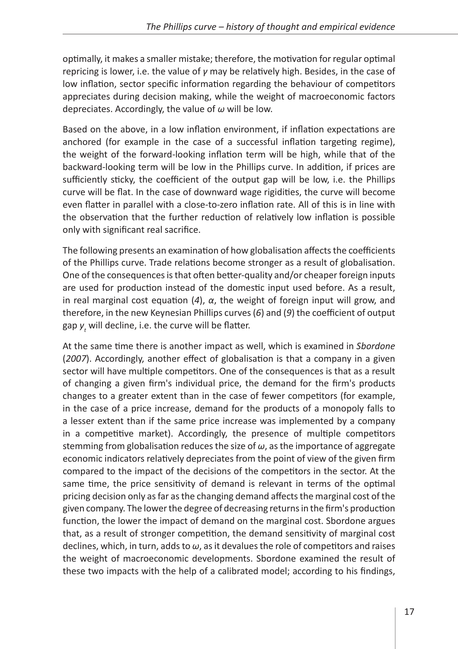optimally, it makes a smaller mistake; therefore, the motivation for regular optimal repricing is lower, i.e. the value of *γ* may be relatively high. Besides, in the case of low inflation, sector specific information regarding the behaviour of competitors appreciates during decision making, while the weight of macroeconomic factors depreciates. Accordingly, the value of *ω* will be low.

Based on the above, in a low inflation environment, if inflation expectations are anchored (for example in the case of a successful inflation targeting regime), the weight of the forward-looking inflation term will be high, while that of the backward-looking term will be low in the Phillips curve. In addition, if prices are sufficiently sticky, the coefficient of the output gap will be low, i.e. the Phillips curve will be flat. In the case of downward wage rigidities, the curve will become even flatter in parallel with a close-to-zero inflation rate. All of this is in line with the observation that the further reduction of relatively low inflation is possible only with significant real sacrifice.

The following presents an examination of how globalisation affects the coefficients of the Phillips curve. Trade relations become stronger as a result of globalisation. One of the consequences is that often better-quality and/or cheaper foreign inputs are used for production instead of the domestic input used before. As a result, in real marginal cost equation (*4*), *α*, the weight of foreign input will grow, and therefore, in the new Keynesian Phillips curves (*6*) and (*9*) the coefficient of output gap  $y_t$  will decline, i.e. the curve will be flatter.

At the same time there is another impact as well, which is examined in *Sbordone* (*2007*). Accordingly, another effect of globalisation is that a company in a given sector will have multiple competitors. One of the consequences is that as a result of changing a given firm's individual price, the demand for the firm's products changes to a greater extent than in the case of fewer competitors (for example, in the case of a price increase, demand for the products of a monopoly falls to a lesser extent than if the same price increase was implemented by a company in a competitive market). Accordingly, the presence of multiple competitors stemming from globalisation reduces the size of *ω*, as the importance of aggregate economic indicators relatively depreciates from the point of view of the given firm compared to the impact of the decisions of the competitors in the sector. At the same time, the price sensitivity of demand is relevant in terms of the optimal pricing decision only as far as the changing demand affects the marginal cost of the given company. The lower the degree of decreasing returns in the firm's production function, the lower the impact of demand on the marginal cost. Sbordone argues that, as a result of stronger competition, the demand sensitivity of marginal cost declines, which, in turn, adds to *ω*, as it devalues the role of competitors and raises the weight of macroeconomic developments. Sbordone examined the result of these two impacts with the help of a calibrated model; according to his findings,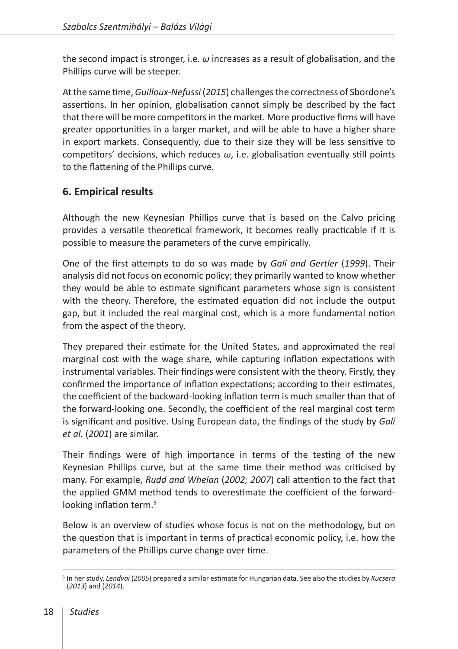the second impact is stronger, i.e. *ω* increases as a result of globalisation, and the Phillips curve will be steeper.

At the same time, *Guilloux-Nefussi* (*2015*) challenges the correctness of Sbordone's assertions. In her opinion, globalisation cannot simply be described by the fact that there will be more competitors in the market. More productive firms will have greater opportunities in a larger market, and will be able to have a higher share in export markets. Consequently, due to their size they will be less sensitive to competitors' decisions, which reduces *ω*, i.e. globalisation eventually still points to the flattening of the Phillips curve.

#### **6. Empirical results**

Although the new Keynesian Phillips curve that is based on the Calvo pricing provides a versatile theoretical framework, it becomes really practicable if it is possible to measure the parameters of the curve empirically.

One of the first attempts to do so was made by *Galí and Gertler* (*1999*). Their analysis did not focus on economic policy; they primarily wanted to know whether they would be able to estimate significant parameters whose sign is consistent with the theory. Therefore, the estimated equation did not include the output gap, but it included the real marginal cost, which is a more fundamental notion from the aspect of the theory.

They prepared their estimate for the United States, and approximated the real marginal cost with the wage share, while capturing inflation expectations with instrumental variables. Their findings were consistent with the theory. Firstly, they confirmed the importance of inflation expectations; according to their estimates, the coefficient of the backward-looking inflation term is much smaller than that of the forward-looking one. Secondly, the coefficient of the real marginal cost term is significant and positive. Using European data, the findings of the study by *Galí et al*. (*2001*) are similar.

Their findings were of high importance in terms of the testing of the new Keynesian Phillips curve, but at the same time their method was criticised by many. For example, *Rudd and Whelan* (*2002; 2007*) call attention to the fact that the applied GMM method tends to overestimate the coefficient of the forwardlooking inflation term.<sup>5</sup>

Below is an overview of studies whose focus is not on the methodology, but on the question that is important in terms of practical economic policy, i.e. how the parameters of the Phillips curve change over time.

<sup>5</sup> In her study, *Lendvai* (*2005*) prepared a similar estimate for Hungarian data. See also the studies by *Kucsera* (*2013*) and (*2014*).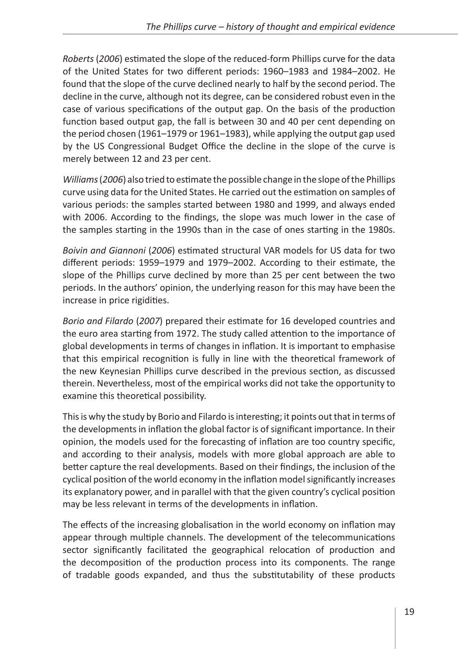*Roberts* (*2006*) estimated the slope of the reduced-form Phillips curve for the data of the United States for two different periods: 1960–1983 and 1984–2002. He found that the slope of the curve declined nearly to half by the second period. The decline in the curve, although not its degree, can be considered robust even in the case of various specifications of the output gap. On the basis of the production function based output gap, the fall is between 30 and 40 per cent depending on the period chosen (1961–1979 or 1961–1983), while applying the output gap used by the US Congressional Budget Office the decline in the slope of the curve is merely between 12 and 23 per cent.

*Williams* (*2006*) also tried to estimate the possible change in the slope of the Phillips curve using data for the United States. He carried out the estimation on samples of various periods: the samples started between 1980 and 1999, and always ended with 2006. According to the findings, the slope was much lower in the case of the samples starting in the 1990s than in the case of ones starting in the 1980s.

*Boivin and Giannoni* (*2006*) estimated structural VAR models for US data for two different periods: 1959–1979 and 1979–2002. According to their estimate, the slope of the Phillips curve declined by more than 25 per cent between the two periods. In the authors' opinion, the underlying reason for this may have been the increase in price rigidities.

*Borio and Filardo* (*2007*) prepared their estimate for 16 developed countries and the euro area starting from 1972. The study called attention to the importance of global developments in terms of changes in inflation. It is important to emphasise that this empirical recognition is fully in line with the theoretical framework of the new Keynesian Phillips curve described in the previous section, as discussed therein. Nevertheless, most of the empirical works did not take the opportunity to examine this theoretical possibility.

This is why the study by Borio and Filardo is interesting; it points out that in terms of the developments in inflation the global factor is of significant importance. In their opinion, the models used for the forecasting of inflation are too country specific, and according to their analysis, models with more global approach are able to better capture the real developments. Based on their findings, the inclusion of the cyclical position of the world economy in the inflation model significantly increases its explanatory power, and in parallel with that the given country's cyclical position may be less relevant in terms of the developments in inflation.

The effects of the increasing globalisation in the world economy on inflation may appear through multiple channels. The development of the telecommunications sector significantly facilitated the geographical relocation of production and the decomposition of the production process into its components. The range of tradable goods expanded, and thus the substitutability of these products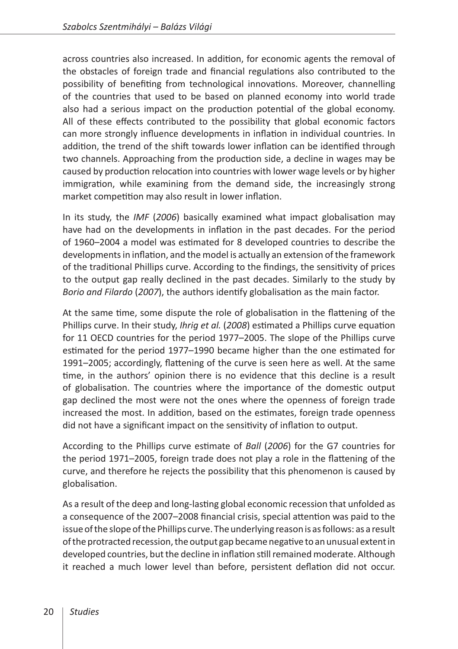across countries also increased. In addition, for economic agents the removal of the obstacles of foreign trade and financial regulations also contributed to the possibility of benefiting from technological innovations. Moreover, channelling of the countries that used to be based on planned economy into world trade also had a serious impact on the production potential of the global economy. All of these effects contributed to the possibility that global economic factors can more strongly influence developments in inflation in individual countries. In addition, the trend of the shift towards lower inflation can be identified through two channels. Approaching from the production side, a decline in wages may be caused by production relocation into countries with lower wage levels or by higher immigration, while examining from the demand side, the increasingly strong market competition may also result in lower inflation.

In its study, the *IMF* (*2006*) basically examined what impact globalisation may have had on the developments in inflation in the past decades. For the period of 1960–2004 a model was estimated for 8 developed countries to describe the developments in inflation, and the model is actually an extension of the framework of the traditional Phillips curve. According to the findings, the sensitivity of prices to the output gap really declined in the past decades. Similarly to the study by *Borio and Filardo* (*2007*), the authors identify globalisation as the main factor.

At the same time, some dispute the role of globalisation in the flattening of the Phillips curve. In their study, *Ihrig et al.* (*2008*) estimated a Phillips curve equation for 11 OECD countries for the period 1977–2005. The slope of the Phillips curve estimated for the period 1977–1990 became higher than the one estimated for 1991–2005; accordingly, flattening of the curve is seen here as well. At the same time, in the authors' opinion there is no evidence that this decline is a result of globalisation. The countries where the importance of the domestic output gap declined the most were not the ones where the openness of foreign trade increased the most. In addition, based on the estimates, foreign trade openness did not have a significant impact on the sensitivity of inflation to output.

According to the Phillips curve estimate of *Ball* (*2006*) for the G7 countries for the period 1971–2005, foreign trade does not play a role in the flattening of the curve, and therefore he rejects the possibility that this phenomenon is caused by globalisation.

As a result of the deep and long-lasting global economic recession that unfolded as a consequence of the 2007–2008 financial crisis, special attention was paid to the issue of the slope of the Phillips curve. The underlying reason is as follows: as a result of the protracted recession, the output gap became negative to an unusual extent in developed countries, but the decline in inflation still remained moderate. Although it reached a much lower level than before, persistent deflation did not occur.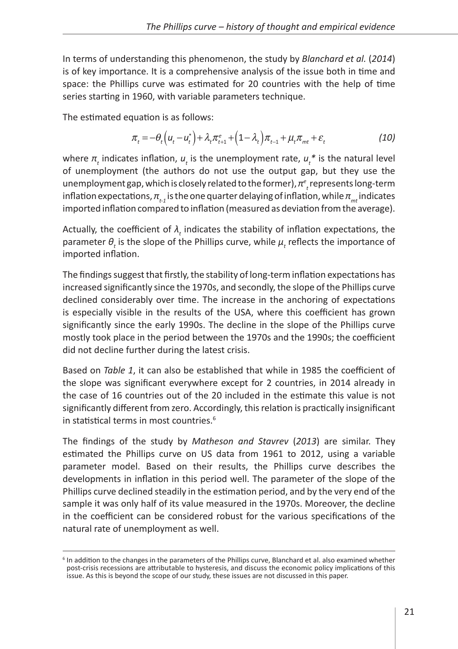In terms of understanding this phenomenon, the study by *Blanchard et al.* (*2014*) is of key importance. It is a comprehensive analysis of the issue both in time and space: the Phillips curve was estimated for 20 countries with the help of time series starting in 1960, with variable parameters technique.

The estimated equation is as follows:

$$
\pi_t = -\theta_t \left( u_t - u_t^* \right) + \lambda_t \pi_{t+1}^e + \left( 1 - \lambda_t \right) \pi_{t-1} + \mu_t \pi_{mt} + \varepsilon_t \tag{10}
$$

where  $π<sub>t</sub>$  indicates inflation,  $u<sub>t</sub>$  is the unemployment rate,  $u<sub>t</sub>$ <sup>\*</sup> is the natural level of unemployment (the authors do not use the output gap, but they use the unemployment gap, which is closely related to the former), *π<sup>e</sup> t* represents long-term inflation expectations,  $\pi_{t,i}$  is the one quarter delaying of inflation, while  $\pi_{mt}$  indicates imported inflation compared to inflation (measured as deviation from the average).

Actually, the coefficient of *λ<sup>t</sup>* indicates the stability of inflation expectations, the parameter  $\theta_t$  is the slope of the Phillips curve, while  $\mu_t$  reflects the importance of imported inflation.

The findings suggest that firstly, the stability of long-term inflation expectations has increased significantly since the 1970s, and secondly, the slope of the Phillips curve declined considerably over time. The increase in the anchoring of expectations is especially visible in the results of the USA, where this coefficient has grown significantly since the early 1990s. The decline in the slope of the Phillips curve mostly took place in the period between the 1970s and the 1990s; the coefficient did not decline further during the latest crisis.

Based on *Table 1*, it can also be established that while in 1985 the coefficient of the slope was significant everywhere except for 2 countries, in 2014 already in the case of 16 countries out of the 20 included in the estimate this value is not significantly different from zero. Accordingly, this relation is practically insignificant in statistical terms in most countries.<sup>6</sup>

The findings of the study by *Matheson and Stavrev* (*2013*) are similar. They estimated the Phillips curve on US data from 1961 to 2012, using a variable parameter model. Based on their results, the Phillips curve describes the developments in inflation in this period well. The parameter of the slope of the Phillips curve declined steadily in the estimation period, and by the very end of the sample it was only half of its value measured in the 1970s. Moreover, the decline in the coefficient can be considered robust for the various specifications of the natural rate of unemployment as well.

<sup>&</sup>lt;sup>6</sup> In addition to the changes in the parameters of the Phillips curve, Blanchard et al. also examined whether post-crisis recessions are attributable to hysteresis, and discuss the economic policy implications of this issue. As this is beyond the scope of our study, these issues are not discussed in this paper.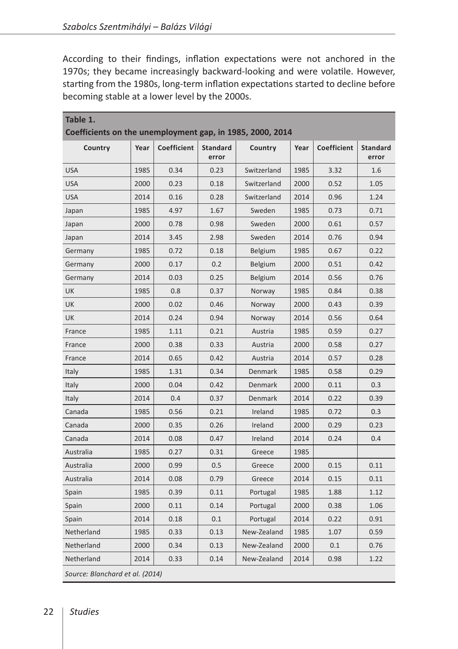According to their findings, inflation expectations were not anchored in the 1970s; they became increasingly backward-looking and were volatile. However, starting from the 1980s, long-term inflation expectations started to decline before becoming stable at a lower level by the 2000s.

| Table 1.<br>Coefficients on the unemployment gap, in 1985, 2000, 2014 |      |             |                          |                |      |             |                          |
|-----------------------------------------------------------------------|------|-------------|--------------------------|----------------|------|-------------|--------------------------|
| Country                                                               | Year | Coefficient | <b>Standard</b><br>error | Country        | Year | Coefficient | <b>Standard</b><br>error |
| <b>USA</b>                                                            | 1985 | 0.34        | 0.23                     | Switzerland    | 1985 | 3.32        | 1.6                      |
| <b>USA</b>                                                            | 2000 | 0.23        | 0.18                     | Switzerland    | 2000 | 0.52        | 1.05                     |
| <b>USA</b>                                                            | 2014 | 0.16        | 0.28                     | Switzerland    | 2014 | 0.96        | 1.24                     |
| Japan                                                                 | 1985 | 4.97        | 1.67                     | Sweden         | 1985 | 0.73        | 0.71                     |
| Japan                                                                 | 2000 | 0.78        | 0.98                     | Sweden         | 2000 | 0.61        | 0.57                     |
| Japan                                                                 | 2014 | 3.45        | 2.98                     | Sweden         | 2014 | 0.76        | 0.94                     |
| Germany                                                               | 1985 | 0.72        | 0.18                     | Belgium        | 1985 | 0.67        | 0.22                     |
| Germany                                                               | 2000 | 0.17        | 0.2                      | <b>Belgium</b> | 2000 | 0.51        | 0.42                     |
| Germany                                                               | 2014 | 0.03        | 0.25                     | Belgium        | 2014 | 0.56        | 0.76                     |
| UK                                                                    | 1985 | 0.8         | 0.37                     | Norway         | 1985 | 0.84        | 0.38                     |
| UK                                                                    | 2000 | 0.02        | 0.46                     | Norway         | 2000 | 0.43        | 0.39                     |
| UK                                                                    | 2014 | 0.24        | 0.94                     | Norway         | 2014 | 0.56        | 0.64                     |
| France                                                                | 1985 | 1.11        | 0.21                     | Austria        | 1985 | 0.59        | 0.27                     |
| France                                                                | 2000 | 0.38        | 0.33                     | Austria        | 2000 | 0.58        | 0.27                     |
| France                                                                | 2014 | 0.65        | 0.42                     | Austria        | 2014 | 0.57        | 0.28                     |
| Italy                                                                 | 1985 | 1.31        | 0.34                     | Denmark        | 1985 | 0.58        | 0.29                     |
| Italy                                                                 | 2000 | 0.04        | 0.42                     | Denmark        | 2000 | 0.11        | 0.3                      |
| Italy                                                                 | 2014 | 0.4         | 0.37                     | Denmark        | 2014 | 0.22        | 0.39                     |
| Canada                                                                | 1985 | 0.56        | 0.21                     | Ireland        | 1985 | 0.72        | 0.3                      |
| Canada                                                                | 2000 | 0.35        | 0.26                     | Ireland        | 2000 | 0.29        | 0.23                     |
| Canada                                                                | 2014 | 0.08        | 0.47                     | Ireland        | 2014 | 0.24        | 0.4                      |
| Australia                                                             | 1985 | 0.27        | 0.31                     | Greece         | 1985 |             |                          |
| Australia                                                             | 2000 | 0.99        | 0.5                      | Greece         | 2000 | 0.15        | 0.11                     |
| Australia                                                             | 2014 | 0.08        | 0.79                     | Greece         | 2014 | 0.15        | 0.11                     |
| Spain                                                                 | 1985 | 0.39        | 0.11                     | Portugal       | 1985 | 1.88        | 1.12                     |
| Spain                                                                 | 2000 | 0.11        | 0.14                     | Portugal       | 2000 | 0.38        | 1.06                     |
| Spain                                                                 | 2014 | 0.18        | 0.1                      | Portugal       | 2014 | 0.22        | 0.91                     |
| Netherland                                                            | 1985 | 0.33        | 0.13                     | New-Zealand    | 1985 | 1.07        | 0.59                     |
| Netherland                                                            | 2000 | 0.34        | 0.13                     | New-Zealand    | 2000 | 0.1         | 0.76                     |
| Netherland                                                            | 2014 | 0.33        | 0.14                     | New-Zealand    | 2014 | 0.98        | 1.22                     |
| Source: Blanchard et al. (2014)                                       |      |             |                          |                |      |             |                          |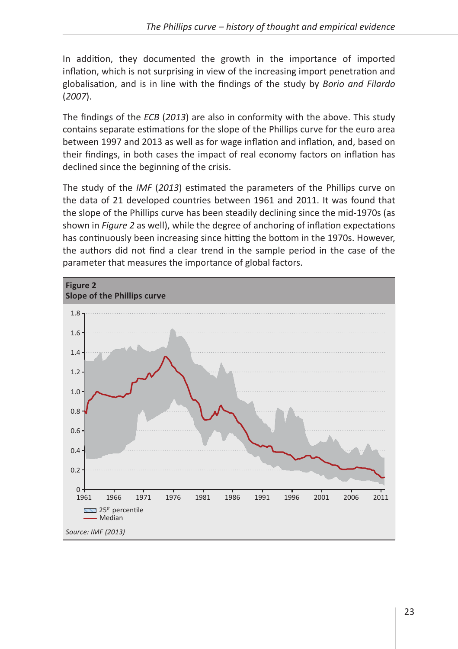In addition, they documented the growth in the importance of imported inflation, which is not surprising in view of the increasing import penetration and globalisation, and is in line with the findings of the study by *Borio and Filardo* (*2007*).

The findings of the *ECB* (*2013*) are also in conformity with the above. This study contains separate estimations for the slope of the Phillips curve for the euro area between 1997 and 2013 as well as for wage inflation and inflation, and, based on their findings, in both cases the impact of real economy factors on inflation has declined since the beginning of the crisis.

The study of the *IMF* (*2013*) estimated the parameters of the Phillips curve on the data of 21 developed countries between 1961 and 2011. It was found that the slope of the Phillips curve has been steadily declining since the mid-1970s (as shown in *Figure 2* as well), while the degree of anchoring of inflation expectations has continuously been increasing since hitting the bottom in the 1970s. However, the authors did not find a clear trend in the sample period in the case of the parameter that measures the importance of global factors.

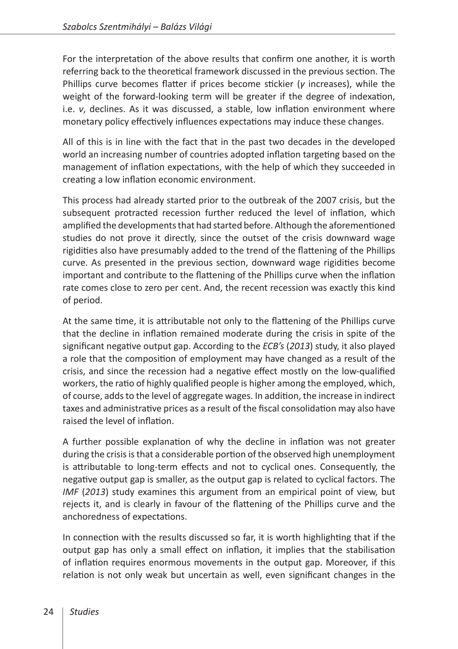For the interpretation of the above results that confirm one another, it is worth referring back to the theoretical framework discussed in the previous section. The Phillips curve becomes flatter if prices become stickier (*γ* increases), while the weight of the forward-looking term will be greater if the degree of indexation, i.e. *ν*, declines. As it was discussed, a stable, low inflation environment where monetary policy effectively influences expectations may induce these changes.

All of this is in line with the fact that in the past two decades in the developed world an increasing number of countries adopted inflation targeting based on the management of inflation expectations, with the help of which they succeeded in creating a low inflation economic environment.

This process had already started prior to the outbreak of the 2007 crisis, but the subsequent protracted recession further reduced the level of inflation, which amplified the developments that had started before. Although the aforementioned studies do not prove it directly, since the outset of the crisis downward wage rigidities also have presumably added to the trend of the flattening of the Phillips curve. As presented in the previous section, downward wage rigidities become important and contribute to the flattening of the Phillips curve when the inflation rate comes close to zero per cent. And, the recent recession was exactly this kind of period.

At the same time, it is attributable not only to the flattening of the Phillips curve that the decline in inflation remained moderate during the crisis in spite of the significant negative output gap. According to the *ECB's* (*2013*) study, it also played a role that the composition of employment may have changed as a result of the crisis, and since the recession had a negative effect mostly on the low-qualified workers, the ratio of highly qualified people is higher among the employed, which, of course, adds to the level of aggregate wages. In addition, the increase in indirect taxes and administrative prices as a result of the fiscal consolidation may also have raised the level of inflation.

A further possible explanation of why the decline in inflation was not greater during the crisis is that a considerable portion of the observed high unemployment is attributable to long-term effects and not to cyclical ones. Consequently, the negative output gap is smaller, as the output gap is related to cyclical factors. The *IMF* (*2013*) study examines this argument from an empirical point of view, but rejects it, and is clearly in favour of the flattening of the Phillips curve and the anchoredness of expectations.

In connection with the results discussed so far, it is worth highlighting that if the output gap has only a small effect on inflation, it implies that the stabilisation of inflation requires enormous movements in the output gap. Moreover, if this relation is not only weak but uncertain as well, even significant changes in the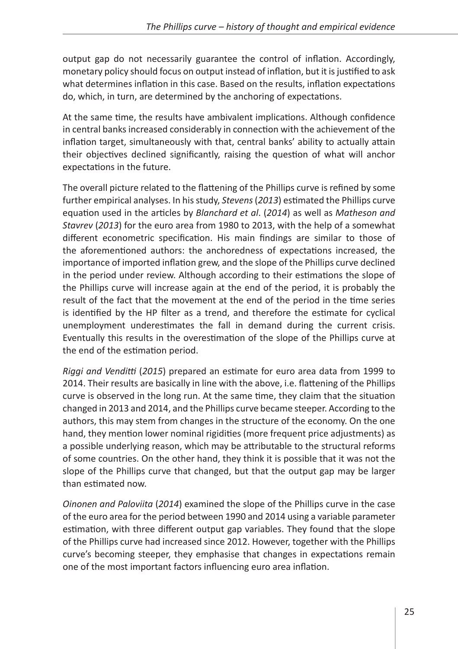output gap do not necessarily guarantee the control of inflation. Accordingly, monetary policy should focus on output instead of inflation, but it is justified to ask what determines inflation in this case. Based on the results, inflation expectations do, which, in turn, are determined by the anchoring of expectations.

At the same time, the results have ambivalent implications. Although confidence in central banks increased considerably in connection with the achievement of the inflation target, simultaneously with that, central banks' ability to actually attain their objectives declined significantly, raising the question of what will anchor expectations in the future.

The overall picture related to the flattening of the Phillips curve is refined by some further empirical analyses. In his study, *Stevens* (*2013*) estimated the Phillips curve equation used in the articles by *Blanchard et al*. (*2014*) as well as *Matheson and Stavrev* (*2013*) for the euro area from 1980 to 2013, with the help of a somewhat different econometric specification. His main findings are similar to those of the aforementioned authors: the anchoredness of expectations increased, the importance of imported inflation grew, and the slope of the Phillips curve declined in the period under review. Although according to their estimations the slope of the Phillips curve will increase again at the end of the period, it is probably the result of the fact that the movement at the end of the period in the time series is identified by the HP filter as a trend, and therefore the estimate for cyclical unemployment underestimates the fall in demand during the current crisis. Eventually this results in the overestimation of the slope of the Phillips curve at the end of the estimation period.

*Riggi and Venditti* (*2015*) prepared an estimate for euro area data from 1999 to 2014. Their results are basically in line with the above, i.e. flattening of the Phillips curve is observed in the long run. At the same time, they claim that the situation changed in 2013 and 2014, and the Phillips curve became steeper. According to the authors, this may stem from changes in the structure of the economy. On the one hand, they mention lower nominal rigidities (more frequent price adjustments) as a possible underlying reason, which may be attributable to the structural reforms of some countries. On the other hand, they think it is possible that it was not the slope of the Phillips curve that changed, but that the output gap may be larger than estimated now.

*Oinonen and Paloviita* (*2014*) examined the slope of the Phillips curve in the case of the euro area for the period between 1990 and 2014 using a variable parameter estimation, with three different output gap variables. They found that the slope of the Phillips curve had increased since 2012. However, together with the Phillips curve's becoming steeper, they emphasise that changes in expectations remain one of the most important factors influencing euro area inflation.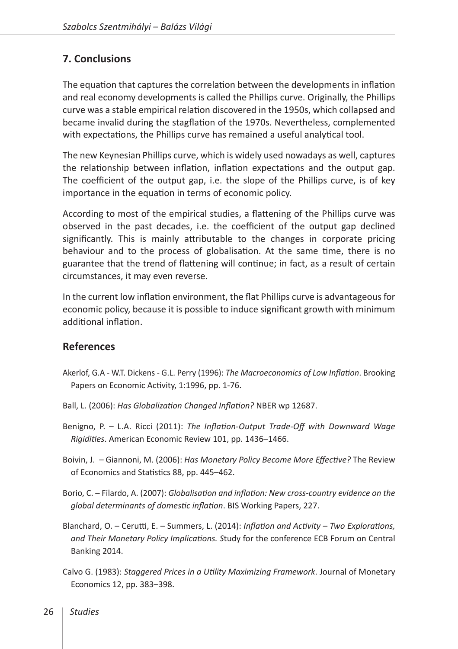#### **7. Conclusions**

The equation that captures the correlation between the developments in inflation and real economy developments is called the Phillips curve. Originally, the Phillips curve was a stable empirical relation discovered in the 1950s, which collapsed and became invalid during the stagflation of the 1970s. Nevertheless, complemented with expectations, the Phillips curve has remained a useful analytical tool.

The new Keynesian Phillips curve, which is widely used nowadays as well, captures the relationship between inflation, inflation expectations and the output gap. The coefficient of the output gap, i.e. the slope of the Phillips curve, is of key importance in the equation in terms of economic policy.

According to most of the empirical studies, a flattening of the Phillips curve was observed in the past decades, i.e. the coefficient of the output gap declined significantly. This is mainly attributable to the changes in corporate pricing behaviour and to the process of globalisation. At the same time, there is no guarantee that the trend of flattening will continue; in fact, as a result of certain circumstances, it may even reverse.

In the current low inflation environment, the flat Phillips curve is advantageous for economic policy, because it is possible to induce significant growth with minimum additional inflation.

#### **References**

- Akerlof, G.A W.T. Dickens G.L. Perry (1996): *The Macroeconomics of Low Inflation*. Brooking Papers on Economic Activity, 1:1996, pp. 1-76.
- Ball, L. (2006): *Has Globalization Changed Inflation?* NBER wp 12687.
- Benigno, P. L.A. Ricci (2011): *The Inflation-Output Trade-Off with Downward Wage Rigidities*. American Economic Review 101, pp. 1436–1466.
- Boivin, J. Giannoni, M. (2006): *Has Monetary Policy Become More Effective?* [The Review](https://ideas.repec.org/s/tpr/restat.html) [of Economics and Statistics](https://ideas.repec.org/s/tpr/restat.html) 88, pp. 445–462.
- Borio, C. Filardo, A. (2007): *Globalisation and inflation: New cross-country evidence on the global determinants of domestic inflation*. BIS Working Papers, 227.
- Blanchard, O. Cerutti, E. Summers, L. (2014): *Inflation and Activity Two Explorations, and Their Monetary Policy Implications. S*tudy for the conference ECB Forum on Central Banking 2014.
- Calvo G. (1983): *Staggered Prices in a Utility Maximizing Framework*. Journal of Monetary Economics 12, pp. 383–398.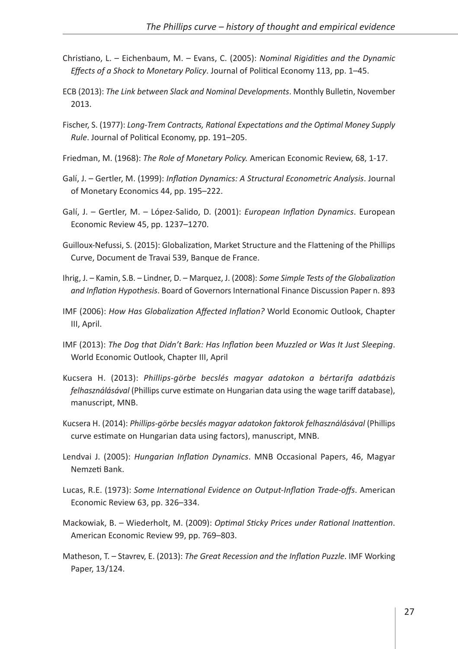- Christiano, L. Eichenbaum, M. Evans, C. (2005): *Nominal Rigidities and the Dynamic Effects of a Shock to Monetary Policy*. Journal of Political Economy 113, pp. 1–45.
- ECB (2013): *The Link between Slack and Nominal Developments*. Monthly Bulletin, November 2013.
- Fischer, S. (1977): *Long-Trem Contracts, Rational Expectations and the Optimal Money Supply Rule*. Journal of Political Economy, pp. 191–205.
- Friedman, M. (1968): *The Role of Monetary Policy.* American Economic Review, 68, 1-17.
- Galí, J. Gertler, M. (1999): *Inflation Dynamics: A Structural Econometric Analysis*. Journal of Monetary Economics 44, pp. 195–222.
- Galí, J. Gertler, M. López-Salido, D. (2001): *European Inflation Dynamics*. European Economic Review 45, pp. 1237–1270.
- Guilloux-Nefussi, S. (2015): Globalization, Market Structure and the Flattening of the Phillips Curve, Document de Travai 539, Banque de France.
- Ihrig, J. Kamin, S.B. Lindner, D. Marquez, J. (2008): *Some Simple Tests of the Globalization and Inflation Hypothesis*. Board of Governors International Finance Discussion Paper n. 893
- IMF (2006): *How Has Globalization Affected Inflation?* World Economic Outlook, Chapter III, April.
- IMF (2013): *The Dog that Didn't Bark: Has Inflation been Muzzled or Was It Just Sleeping*. World Economic Outlook, Chapter III, April
- Kucsera H. (2013): *Phillips-görbe becslés magyar adatokon a bértarifa adatbázis felhasználásával* (Phillips curve estimate on Hungarian data using the wage tariff database), manuscript, MNB.
- Kucsera H. (2014): *Phillips-görbe becslés magyar adatokon faktorok felhasználásával* (Phillips curve estimate on Hungarian data using factors), manuscript, MNB.
- Lendvai J. (2005): *Hungarian Inflation Dynamics*. MNB Occasional Papers, 46, Magyar Nemzeti Bank.
- Lucas, R.E. (1973): *Some International Evidence on Output-Inflation Trade-offs*. American Economic Review 63, pp. 326–334.
- Mackowiak, B. Wiederholt, M. (2009): *Optimal Sticky Prices under Rational Inattention*. American Economic Review 99, pp. 769–803.
- Matheson, T. Stavrev, E. (2013): *The Great Recession and the Inflation Puzzle*. IMF Working Paper, 13/124.